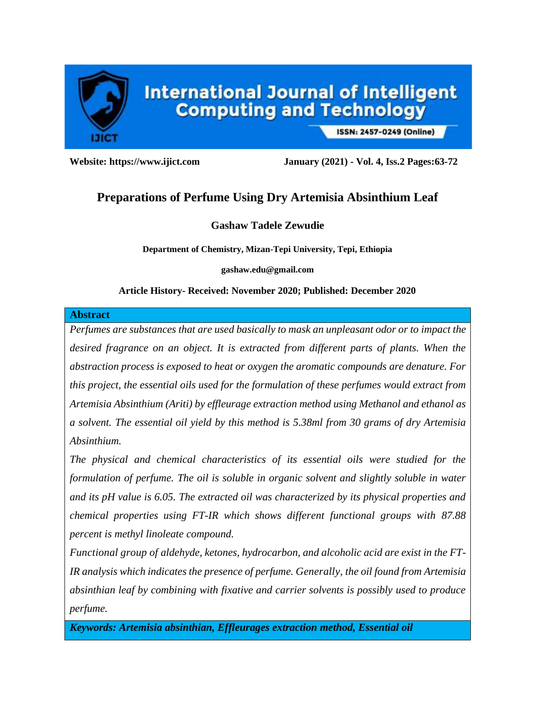

ISSN: 2457-0249 (Online)

**Website: https://www.ijict.com January (2021) - Vol. 4, Iss.2 Pages:63-72**

# **Preparations of Perfume Using Dry Artemisia Absinthium Leaf**

# **Gashaw Tadele Zewudie**

**Department of Chemistry, Mizan-Tepi University, Tepi, Ethiopia**

**gashaw.edu@gmail.com**

## **Article History- Received: November 2020; Published: December 2020**

### **Abstract**

*Perfumes are substances that are used basically to mask an unpleasant odor or to impact the*  desired fragrance on an object. It is extracted from different parts of plants. When the *abstraction process is exposed to heat or oxygen the aromatic compounds are denature. For this project, the essential oils used for the formulation of these perfumes would extract from Artemisia Absinthium (Ariti) by effleurage extraction method using Methanol and ethanol as a solvent. The essential oil yield by this method is 5.38ml from 30 grams of dry Artemisia Absinthium.* 

*The physical and chemical characteristics of its essential oils were studied for the formulation of perfume. The oil is soluble in organic solvent and slightly soluble in water and its pH value is 6.05. The extracted oil was characterized by its physical properties and chemical properties using FT-IR which shows different functional groups with 87.88 percent is methyl linoleate compound.* 

*Functional group of aldehyde, ketones, hydrocarbon, and alcoholic acid are exist in the FT-IR analysis which indicates the presence of perfume. Generally, the oil found from Artemisia absinthian leaf by combining with fixative and carrier solvents is possibly used to produce perfume.* 

*Keywords: Artemisia absinthian, Effleurages extraction method, Essential oil*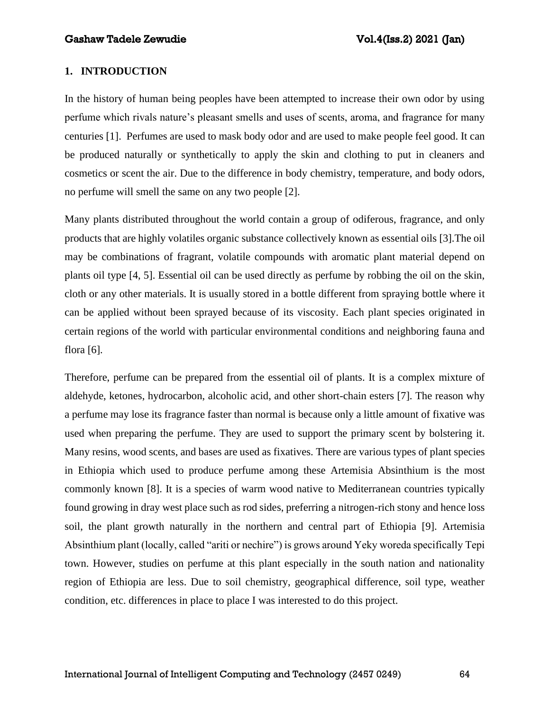## **1. INTRODUCTION**

In the history of human being peoples have been attempted to increase their own odor by using perfume which rivals nature's pleasant smells and uses of scents, aroma, and fragrance for many centuries [1]. Perfumes are used to mask body odor and are used to make people feel good. It can be produced naturally or synthetically to apply the skin and clothing to put in cleaners and cosmetics or scent the air. Due to the difference in body chemistry, temperature, and body odors, no perfume will smell the same on any two people [2].

Many plants distributed throughout the world contain a group of odiferous, fragrance, and only products that are highly volatiles organic substance collectively known as essential oils [3].The oil may be combinations of fragrant, volatile compounds with aromatic plant material depend on plants oil type [4, 5]. Essential oil can be used directly as perfume by robbing the oil on the skin, cloth or any other materials. It is usually stored in a bottle different from spraying bottle where it can be applied without been sprayed because of its viscosity. Each plant species originated in certain regions of the world with particular environmental conditions and neighboring fauna and flora [6].

Therefore, perfume can be prepared from the essential oil of plants. It is a complex mixture of aldehyde, ketones, hydrocarbon, alcoholic acid, and other short-chain esters [7]. The reason why a perfume may lose its fragrance faster than normal is because only a little amount of fixative was used when preparing the perfume. They are used to support the primary scent by bolstering it. Many resins, wood scents, and bases are used as fixatives. There are various types of plant species in Ethiopia which used to produce perfume among these Artemisia Absinthium is the most commonly known [8]. It is a species of warm wood native to Mediterranean countries typically found growing in dray west place such as rod sides, preferring a nitrogen-rich stony and hence loss soil, the plant growth naturally in the northern and central part of Ethiopia [9]. Artemisia Absinthium plant (locally, called "ariti or nechire") is grows around Yeky woreda specifically Tepi town. However, studies on perfume at this plant especially in the south nation and nationality region of Ethiopia are less. Due to soil chemistry, geographical difference, soil type, weather condition, etc. differences in place to place I was interested to do this project.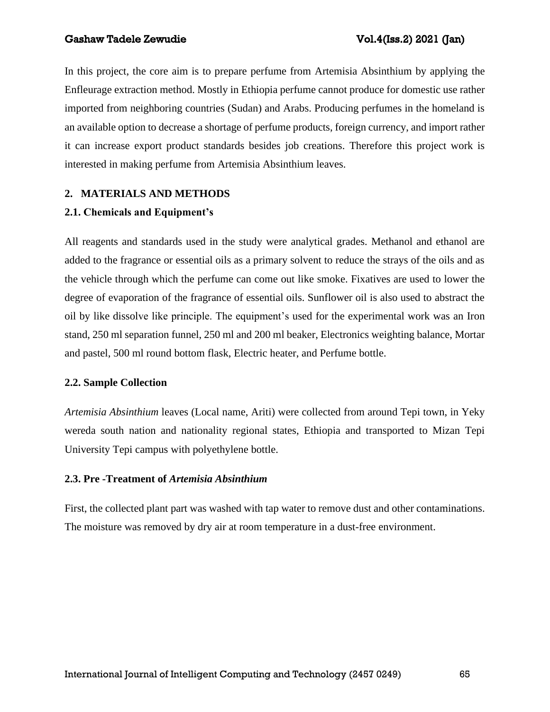In this project, the core aim is to prepare perfume from Artemisia Absinthium by applying the Enfleurage extraction method. Mostly in Ethiopia perfume cannot produce for domestic use rather imported from neighboring countries (Sudan) and Arabs. Producing perfumes in the homeland is an available option to decrease a shortage of perfume products, foreign currency, and import rather it can increase export product standards besides job creations. Therefore this project work is interested in making perfume from Artemisia Absinthium leaves.

# **2. MATERIALS AND METHODS**

# **2.1. Chemicals and Equipment's**

All reagents and standards used in the study were analytical grades. Methanol and ethanol are added to the fragrance or essential oils as a primary solvent to reduce the strays of the oils and as the vehicle through which the perfume can come out like smoke. Fixatives are used to lower the degree of evaporation of the fragrance of essential oils. Sunflower oil is also used to abstract the oil by like dissolve like principle. The equipment's used for the experimental work was an Iron stand, 250 ml separation funnel, 250 ml and 200 ml beaker, Electronics weighting balance, Mortar and pastel, 500 ml round bottom flask, Electric heater, and Perfume bottle.

## **2.2. Sample Collection**

*Artemisia Absinthium* leaves (Local name, Ariti) were collected from around Tepi town, in Yeky wereda south nation and nationality regional states, Ethiopia and transported to Mizan Tepi University Tepi campus with polyethylene bottle.

## **2.3. Pre -Treatment of** *Artemisia Absinthium*

First, the collected plant part was washed with tap water to remove dust and other contaminations. The moisture was removed by dry air at room temperature in a dust-free environment.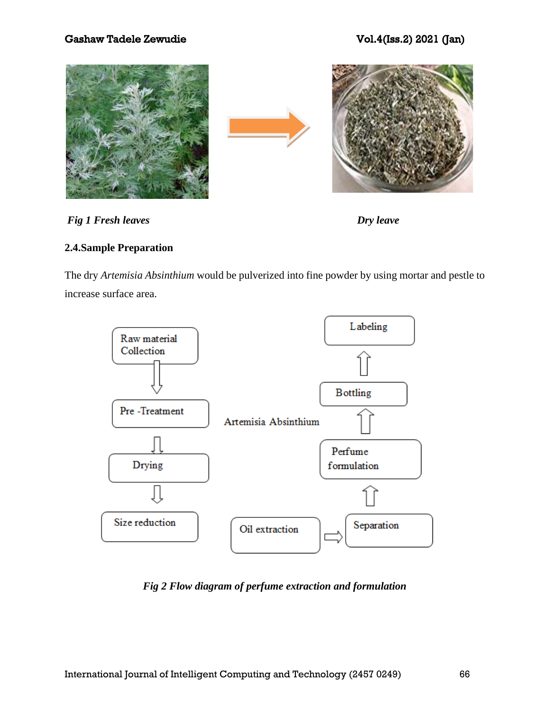



# **2.4.Sample Preparation**

The dry *Artemisia Absinthium* would be pulverized into fine powder by using mortar and pestle to increase surface area.



*Fig 2 Flow diagram of perfume extraction and formulation*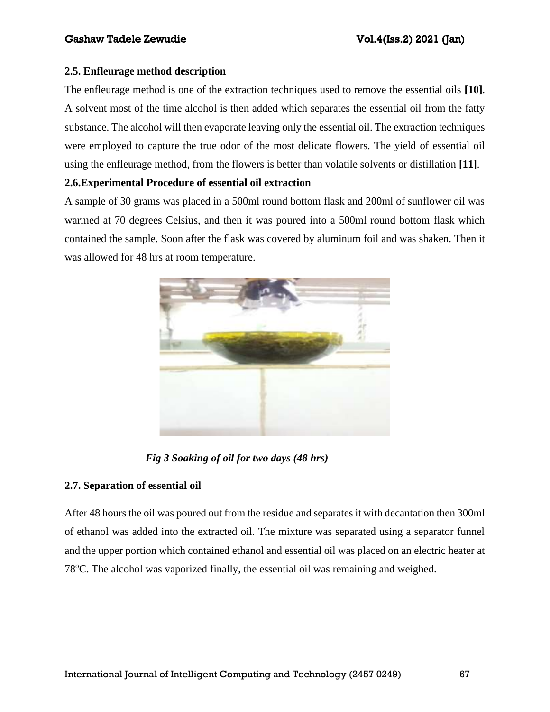# **2.5. Enfleurage method description**

The enfleurage method is one of the extraction techniques used to remove the essential oils **[10]**. A solvent most of the time alcohol is then added which separates the essential oil from the fatty substance. The alcohol will then evaporate leaving only the essential oil. The extraction techniques were employed to capture the true odor of the most delicate flowers. The yield of essential oil using the enfleurage method, from the flowers is better than volatile solvents or distillation **[11]**.

# **2.6.Experimental Procedure of essential oil extraction**

A sample of 30 grams was placed in a 500ml round bottom flask and 200ml of sunflower oil was warmed at 70 degrees Celsius, and then it was poured into a 500ml round bottom flask which contained the sample. Soon after the flask was covered by aluminum foil and was shaken. Then it was allowed for 48 hrs at room temperature.



*Fig 3 Soaking of oil for two days (48 hrs)*

# **2.7. Separation of essential oil**

After 48 hours the oil was poured out from the residue and separates it with decantation then 300ml of ethanol was added into the extracted oil. The mixture was separated using a separator funnel and the upper portion which contained ethanol and essential oil was placed on an electric heater at  $78^{\circ}$ C. The alcohol was vaporized finally, the essential oil was remaining and weighed.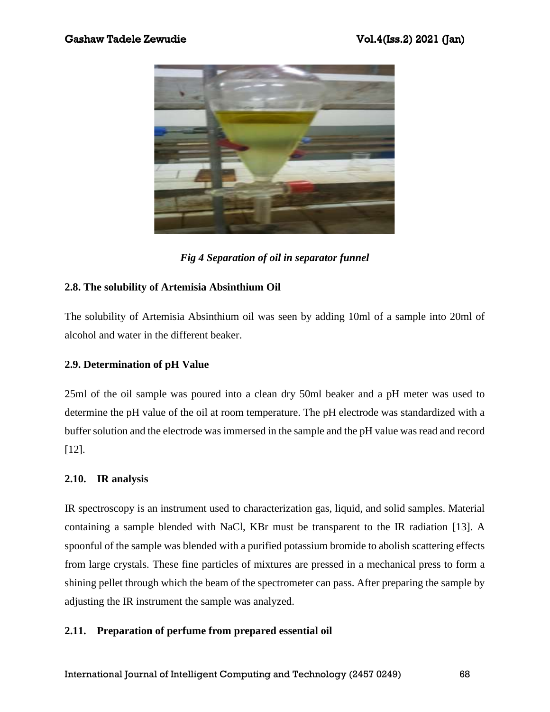

*Fig 4 Separation of oil in separator funnel*

# **2.8. The solubility of Artemisia Absinthium Oil**

The solubility of Artemisia Absinthium oil was seen by adding 10ml of a sample into 20ml of alcohol and water in the different beaker.

# **2.9. Determination of pH Value**

25ml of the oil sample was poured into a clean dry 50ml beaker and a pH meter was used to determine the pH value of the oil at room temperature. The pH electrode was standardized with a buffer solution and the electrode was immersed in the sample and the pH value was read and record [12].

# **2.10. IR analysis**

IR spectroscopy is an instrument used to characterization gas, liquid, and solid samples. Material containing a sample blended with NaCl, KBr must be transparent to the IR radiation [13]. A spoonful of the sample was blended with a purified potassium bromide to abolish scattering effects from large crystals. These fine particles of mixtures are pressed in a mechanical press to form a shining pellet through which the beam of the spectrometer can pass. After preparing the sample by adjusting the IR instrument the sample was analyzed.

# **2.11. Preparation of perfume from prepared essential oil**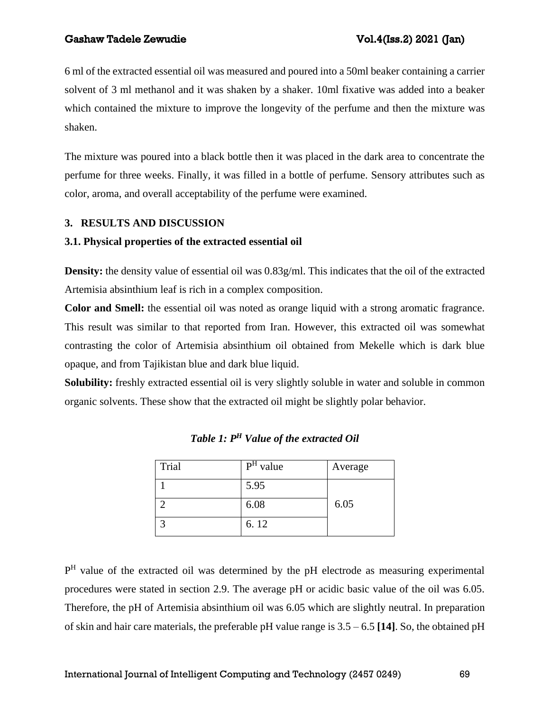6 ml of the extracted essential oil was measured and poured into a 50ml beaker containing a carrier solvent of 3 ml methanol and it was shaken by a shaker. 10ml fixative was added into a beaker which contained the mixture to improve the longevity of the perfume and then the mixture was shaken.

The mixture was poured into a black bottle then it was placed in the dark area to concentrate the perfume for three weeks. Finally, it was filled in a bottle of perfume. Sensory attributes such as color, aroma, and overall acceptability of the perfume were examined.

# **3. RESULTS AND DISCUSSION**

# **3.1. Physical properties of the extracted essential oil**

**Density:** the density value of essential oil was 0.83g/ml. This indicates that the oil of the extracted Artemisia absinthium leaf is rich in a complex composition.

**Color and Smell:** the essential oil was noted as orange liquid with a strong aromatic fragrance. This result was similar to that reported from Iran. However, this extracted oil was somewhat contrasting the color of Artemisia absinthium oil obtained from Mekelle which is dark blue opaque, and from Tajikistan blue and dark blue liquid.

**Solubility:** freshly extracted essential oil is very slightly soluble in water and soluble in common organic solvents. These show that the extracted oil might be slightly polar behavior.

| Trial | $PH$ value | Average |
|-------|------------|---------|
|       | 5.95       |         |
|       | 6.08       | 6.05    |
|       | 6.12       |         |

*Table 1: P<sup>H</sup> Value of the extracted Oil*

P<sup>H</sup> value of the extracted oil was determined by the pH electrode as measuring experimental procedures were stated in section 2.9. The average pH or acidic basic value of the oil was 6.05. Therefore, the pH of Artemisia absinthium oil was 6.05 which are slightly neutral. In preparation of skin and hair care materials, the preferable pH value range is 3.5 – 6.5 **[14]**. So, the obtained pH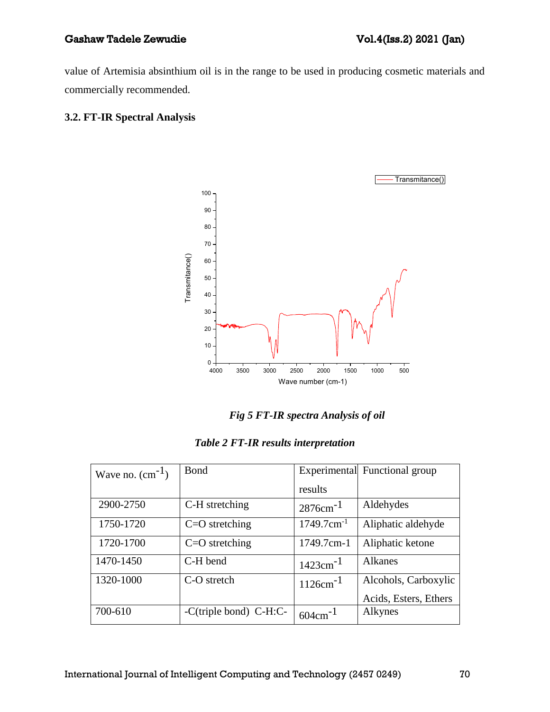value of Artemisia absinthium oil is in the range to be used in producing cosmetic materials and commercially recommended.

# **3.2. FT-IR Spectral Analysis**



*Fig 5 FT-IR spectra Analysis of oil*

|  |  |  | Table 2 FT-IR results interpretation |
|--|--|--|--------------------------------------|
|--|--|--|--------------------------------------|

| Wave no. $(cm^{-1})$ | <b>B</b> ond           |                           | Experimental Functional group |
|----------------------|------------------------|---------------------------|-------------------------------|
|                      |                        | results                   |                               |
| 2900-2750            | C-H stretching         | $2876$ cm <sup>-1</sup>   | Aldehydes                     |
| 1750-1720            | $C=O$ stretching       | $1749.7$ cm <sup>-1</sup> | Aliphatic aldehyde            |
| 1720-1700            | $C=O$ stretching       | 1749.7cm-1                | Aliphatic ketone              |
| 1470-1450            | C-H bend               | $1423$ cm <sup>-1</sup>   | Alkanes                       |
| 1320-1000            | C-O stretch            | $1126$ cm <sup>-1</sup>   | Alcohols, Carboxylic          |
|                      |                        |                           | Acids, Esters, Ethers         |
| 700-610              | -C(triple bond) C-H:C- | $604 \text{cm}^{-1}$      | Alkynes                       |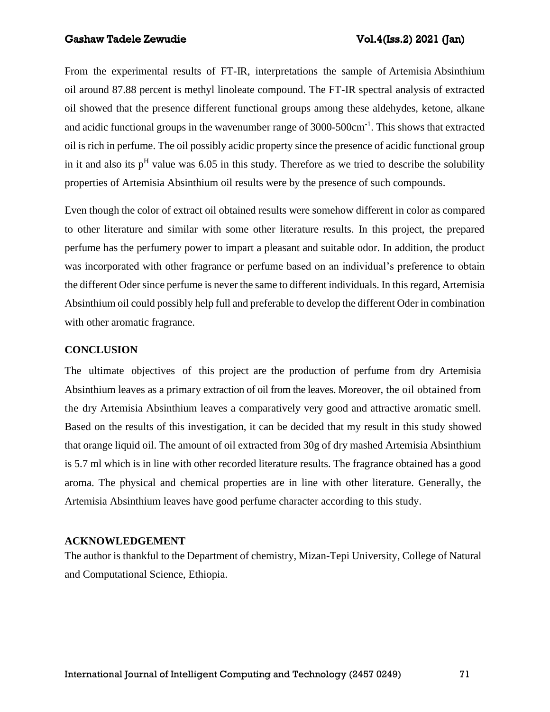From the experimental results of FT-IR, interpretations the sample of Artemisia Absinthium oil around 87.88 percent is methyl linoleate compound. The FT-IR spectral analysis of extracted oil showed that the presence different functional groups among these aldehydes, ketone, alkane and acidic functional groups in the wavenumber range of 3000-500cm<sup>-1</sup>. This shows that extracted oil is rich in perfume. The oil possibly acidic property since the presence of acidic functional group in it and also its  $p<sup>H</sup>$  value was 6.05 in this study. Therefore as we tried to describe the solubility properties of Artemisia Absinthium oil results were by the presence of such compounds.

Even though the color of extract oil obtained results were somehow different in color as compared to other literature and similar with some other literature results. In this project, the prepared perfume has the perfumery power to impart a pleasant and suitable odor. In addition, the product was incorporated with other fragrance or perfume based on an individual's preference to obtain the different Oder since perfume is never the same to different individuals. In this regard, Artemisia Absinthium oil could possibly help full and preferable to develop the different Oder in combination with other aromatic fragrance.

#### **CONCLUSION**

The ultimate objectives of this project are the production of perfume from dry Artemisia Absinthium leaves as a primary extraction of oil from the leaves. Moreover, the oil obtained from the dry Artemisia Absinthium leaves a comparatively very good and attractive aromatic smell. Based on the results of this investigation, it can be decided that my result in this study showed that orange liquid oil. The amount of oil extracted from 30g of dry mashed Artemisia Absinthium is 5.7 ml which is in line with other recorded literature results. The fragrance obtained has a good aroma. The physical and chemical properties are in line with other literature. Generally, the Artemisia Absinthium leaves have good perfume character according to this study.

## **ACKNOWLEDGEMENT**

The author is thankful to the Department of chemistry, Mizan-Tepi University, College of Natural and Computational Science, Ethiopia.